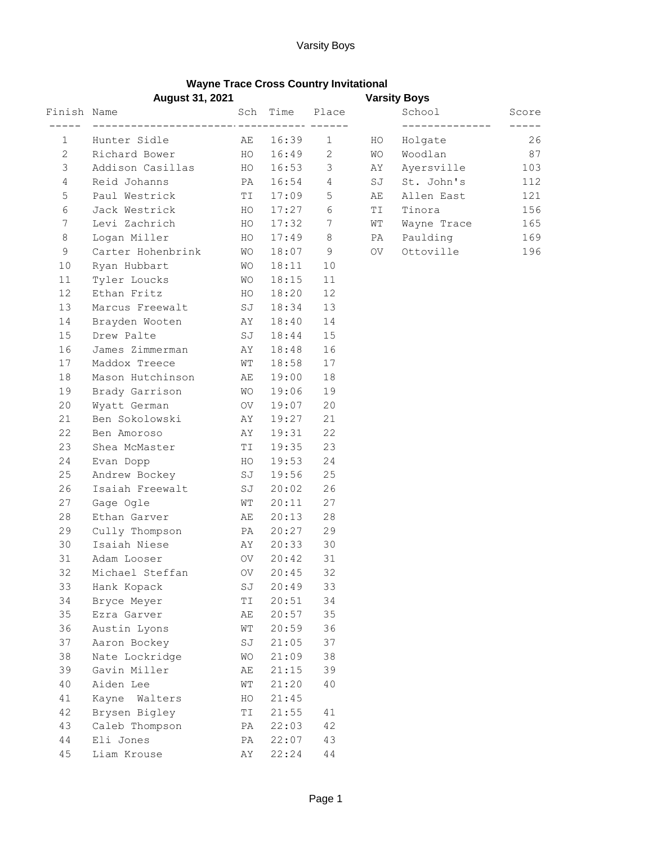## **Wayne Trace Cross Country Invitational**

|              | <b>August 31, 2021</b> |           |                                          |             |           |             |       |
|--------------|------------------------|-----------|------------------------------------------|-------------|-----------|-------------|-------|
| Finish Name  |                        |           | Sch Time                                 | Place       |           | School      | Score |
| 1            | Hunter Sidle           | AE        | ---- <i>------------ ------</i><br>16:39 | 1           | HO        | Holgate     | 26    |
| $\mathbf{2}$ | Richard Bower          | HO        | 16:49                                    | 2           | <b>WO</b> | Woodlan     | 87    |
| 3            | Addison Casillas       | HO        | 16:53                                    | 3           | AY        | Ayersville  | 103   |
| 4            | Reid Johanns           | PA        | 16:54                                    | 4           | SJ        | St. John's  | 112   |
| 5            | Paul Westrick          | TI        | 17:09                                    | $\mathsf S$ | AE        | Allen East  | 121   |
| 6            | Jack Westrick          | HO        | 17:27                                    | 6           | ΤI        | Tinora      | 156   |
| 7            | Levi Zachrich          | HO        | 17:32                                    | 7           | WΤ        | Wayne Trace | 165   |
| 8            | Logan Miller           | HO        | 17:49                                    | 8           | PA        | Paulding    | 169   |
| $\mathsf 9$  | Carter Hohenbrink      | WΟ        | 18:07                                    | 9           | OV        | Ottoville   | 196   |
| 10           | Ryan Hubbart           | WО        | 18:11                                    | 10          |           |             |       |
| 11           | Tyler Loucks           | WО        | 18:15                                    | 11          |           |             |       |
| 12           | Ethan Fritz            | HO        | 18:20                                    | 12          |           |             |       |
| 13           | Marcus Freewalt        | SJ        | 18:34                                    | 13          |           |             |       |
| 14           | Brayden Wooten         | ΑY        | 18:40                                    | 14          |           |             |       |
| 15           | Drew Palte             | SJ        | 18:44                                    | 15          |           |             |       |
| 16           | James Zimmerman        | ΑY        | 18:48                                    | 16          |           |             |       |
| 17           | Maddox Treece          | WТ        | 18:58                                    | 17          |           |             |       |
| 18           | Mason Hutchinson       | AЕ        | 19:00                                    | 18          |           |             |       |
| 19           | Brady Garrison         | <b>WO</b> | 19:06                                    | 19          |           |             |       |
| 20           | Wyatt German           | OV.       | 19:07                                    | 20          |           |             |       |
| 21           | Ben Sokolowski         | AΥ        | 19:27                                    | 21          |           |             |       |
| 22           | Ben Amoroso            | AΥ        | 19:31                                    | 22          |           |             |       |
| 23           | Shea McMaster          | TI        | 19:35                                    | 23          |           |             |       |
| 24           | Evan Dopp              | HO        | 19:53                                    | 24          |           |             |       |
| 25           | Andrew Bockey          | SJ        | 19:56                                    | 25          |           |             |       |
| 26           | Isaiah Freewalt        | SJ        | 20:02                                    | 26          |           |             |       |
| 27           | Gage Ogle              | WТ        | 20:11                                    | 27          |           |             |       |
| 28           | Ethan Garver           | АE        | 20:13                                    | 28          |           |             |       |
| 29           | Cully Thompson         | PA        | 20:27                                    | 29          |           |             |       |
| 30           | Isaiah Niese           | AY        | 20:33                                    | 30          |           |             |       |
| 31           | Adam Looser            | OV        | 20:42                                    | 31          |           |             |       |
| 32           | Michael Steffan        | OV        | 20:45                                    | 32          |           |             |       |
| 33           | Hank Kopack            | SJ        | 20:49                                    | 33          |           |             |       |
| 34           | Bryce Meyer            | ΤI        | 20:51                                    | 34          |           |             |       |
| 35           | Ezra Garver            | AЕ        | 20:57                                    | 35          |           |             |       |
| 36           | Austin Lyons           | WΤ        | 20:59                                    | 36          |           |             |       |
| 37           | Aaron Bockey           | SJ        | 21:05                                    | 37          |           |             |       |
| 38           | Nate Lockridge         | WО        | 21:09                                    | 38          |           |             |       |
| 39           | Gavin Miller           | AЕ        | 21:15                                    | 39          |           |             |       |
| 40           | Aiden Lee              | WΤ        | 21:20                                    | 40          |           |             |       |
| 41           | Kayne<br>Walters       | HO        | 21:45                                    |             |           |             |       |
| 42           | Brysen Bigley          | ΤI        | 21:55                                    | 41          |           |             |       |
| 43           | Caleb Thompson         | PA        | 22:03                                    | 42          |           |             |       |
| $4\,4$       | Eli Jones              | PA        | 22:07                                    | 43          |           |             |       |
| 45           | Liam Krouse            | AΥ        | 22:24                                    | $4\,4$      |           |             |       |